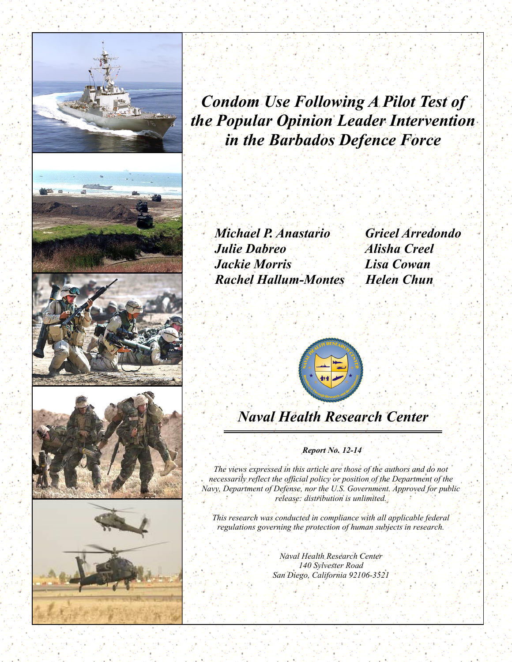

*Condom Use Following A Pilot Test of the Popular Opinion Leader Intervention in the Barbados Defence Force*

*Michael P. Anastario Gricel Arredondo Julie Dabreo Alisha Creel Jackie Morris Lisa Cowan Rachel Hallum-Montes Helen Chun*



*Naval Health Research Center*

# *Report No. 12-14*

*The views expressed in this article are those of the authors and do not necessarily reflect the official policy or position of the Department of the Navy, Department of Defense, nor the U.S. Government. Approved for public release: distribution is unlimited.*

*This research was conducted in compliance with all applicable federal regulations governing the protection of human subjects in research.*

> *Naval Health Research Center 140 Sylvester Road San Diego, California 92106-3521*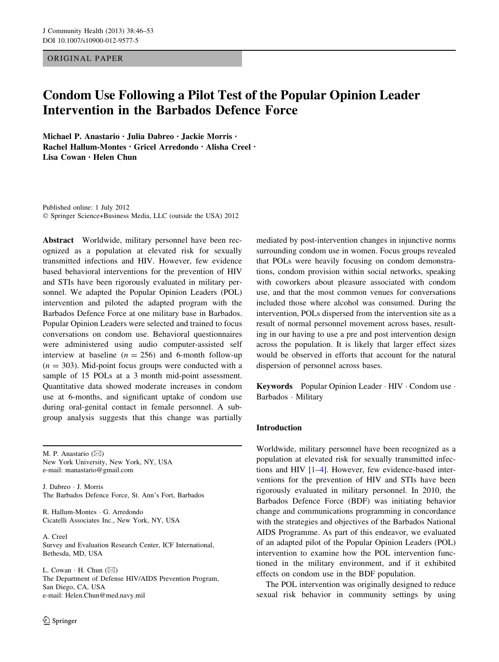## ORIGINAL PAPER

# Condom Use Following a Pilot Test of the Popular Opinion Leader Intervention in the Barbados Defence Force

Michael P. Anastario • Julia Dabreo • Jackie Morris • Rachel Hallum-Montes • Gricel Arredondo • Alisha Creel • Lisa Cowan • Helen Chun

Published online: 1 July 2012 - Springer Science+Business Media, LLC (outside the USA) 2012

Abstract Worldwide, military personnel have been recognized as a population at elevated risk for sexually transmitted infections and HIV. However, few evidence based behavioral interventions for the prevention of HIV and STIs have been rigorously evaluated in military personnel. We adapted the Popular Opinion Leaders (POL) intervention and piloted the adapted program with the Barbados Defence Force at one military base in Barbados. Popular Opinion Leaders were selected and trained to focus conversations on condom use. Behavioral questionnaires were administered using audio computer-assisted self interview at baseline  $(n = 256)$  and 6-month follow-up  $(n = 303)$ . Mid-point focus groups were conducted with a sample of 15 POLs at a 3 month mid-point assessment. Quantitative data showed moderate increases in condom use at 6-months, and significant uptake of condom use during oral-genital contact in female personnel. A subgroup analysis suggests that this change was partially

M. P. Anastario  $(\boxtimes)$ New York University, New York, NY, USA e-mail: manastario@gmail.com

J. Dabreo - J. Morris The Barbados Defence Force, St. Ann's Fort, Barbados

R. Hallum-Montes - G. Arredondo Cicatelli Associates Inc., New York, NY, USA

A. Creel

Survey and Evaluation Research Center, ICF International, Bethesda, MD, USA

L. Cowan  $\cdot$  H. Chun ( $\boxtimes$ ) The Department of Defense HIV/AIDS Prevention Program, San Diego, CA, USA e-mail: Helen.Chun@med.navy.mil

mediated by post-intervention changes in injunctive norms surrounding condom use in women. Focus groups revealed that POLs were heavily focusing on condom demonstrations, condom provision within social networks, speaking with coworkers about pleasure associated with condom use, and that the most common venues for conversations included those where alcohol was consumed. During the intervention, POLs dispersed from the intervention site as a result of normal personnel movement across bases, resulting in our having to use a pre and post intervention design across the population. It is likely that larger effect sizes would be observed in efforts that account for the natural dispersion of personnel across bases.

Keywords Popular Opinion Leader · HIV · Condom use · Barbados - Military

### Introduction

Worldwide, military personnel have been recognized as a population at elevated risk for sexually transmitted infections and HIV [[1–4\]](#page-7-0). However, few evidence-based interventions for the prevention of HIV and STIs have been rigorously evaluated in military personnel. In 2010, the Barbados Defence Force (BDF) was initiating behavior change and communications programming in concordance with the strategies and objectives of the Barbados National AIDS Programme. As part of this endeavor, we evaluated of an adapted pilot of the Popular Opinion Leaders (POL) intervention to examine how the POL intervention functioned in the military environment, and if it exhibited effects on condom use in the BDF population.

The POL intervention was originally designed to reduce sexual risk behavior in community settings by using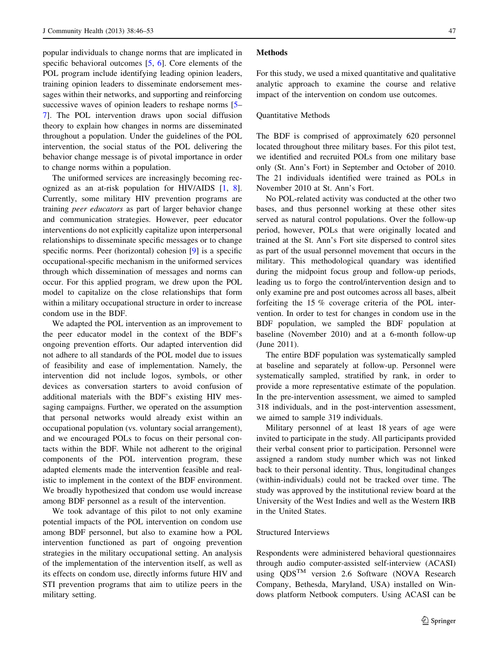popular individuals to change norms that are implicated in specific behavioral outcomes [[5,](#page-7-0) [6\]](#page-7-0). Core elements of the POL program include identifying leading opinion leaders, training opinion leaders to disseminate endorsement messages within their networks, and supporting and reinforcing successive waves of opinion leaders to reshape norms [\[5](#page-7-0)– [7](#page-7-0)]. The POL intervention draws upon social diffusion theory to explain how changes in norms are disseminated throughout a population. Under the guidelines of the POL intervention, the social status of the POL delivering the behavior change message is of pivotal importance in order to change norms within a population.

The uniformed services are increasingly becoming recognized as an at-risk population for HIV/AIDS [\[1](#page-7-0), [8](#page-7-0)]. Currently, some military HIV prevention programs are training peer educators as part of larger behavior change and communication strategies. However, peer educator interventions do not explicitly capitalize upon interpersonal relationships to disseminate specific messages or to change specific norms. Peer (horizontal) cohesion [\[9](#page-7-0)] is a specific occupational-specific mechanism in the uniformed services through which dissemination of messages and norms can occur. For this applied program, we drew upon the POL model to capitalize on the close relationships that form within a military occupational structure in order to increase condom use in the BDF.

We adapted the POL intervention as an improvement to the peer educator model in the context of the BDF's ongoing prevention efforts. Our adapted intervention did not adhere to all standards of the POL model due to issues of feasibility and ease of implementation. Namely, the intervention did not include logos, symbols, or other devices as conversation starters to avoid confusion of additional materials with the BDF's existing HIV messaging campaigns. Further, we operated on the assumption that personal networks would already exist within an occupational population (vs. voluntary social arrangement), and we encouraged POLs to focus on their personal contacts within the BDF. While not adherent to the original components of the POL intervention program, these adapted elements made the intervention feasible and realistic to implement in the context of the BDF environment. We broadly hypothesized that condom use would increase among BDF personnel as a result of the intervention.

We took advantage of this pilot to not only examine potential impacts of the POL intervention on condom use among BDF personnel, but also to examine how a POL intervention functioned as part of ongoing prevention strategies in the military occupational setting. An analysis of the implementation of the intervention itself, as well as its effects on condom use, directly informs future HIV and STI prevention programs that aim to utilize peers in the military setting.

#### **Methods**

For this study, we used a mixed quantitative and qualitative analytic approach to examine the course and relative impact of the intervention on condom use outcomes.

# Quantitative Methods

The BDF is comprised of approximately 620 personnel located throughout three military bases. For this pilot test, we identified and recruited POLs from one military base only (St. Ann's Fort) in September and October of 2010. The 21 individuals identified were trained as POLs in November 2010 at St. Ann's Fort.

No POL-related activity was conducted at the other two bases, and thus personnel working at these other sites served as natural control populations. Over the follow-up period, however, POLs that were originally located and trained at the St. Ann's Fort site dispersed to control sites as part of the usual personnel movement that occurs in the military. This methodological quandary was identified during the midpoint focus group and follow-up periods, leading us to forgo the control/intervention design and to only examine pre and post outcomes across all bases, albeit forfeiting the 15 % coverage criteria of the POL intervention. In order to test for changes in condom use in the BDF population, we sampled the BDF population at baseline (November 2010) and at a 6-month follow-up (June 2011).

The entire BDF population was systematically sampled at baseline and separately at follow-up. Personnel were systematically sampled, stratified by rank, in order to provide a more representative estimate of the population. In the pre-intervention assessment, we aimed to sampled 318 individuals, and in the post-intervention assessment, we aimed to sample 319 individuals.

Military personnel of at least 18 years of age were invited to participate in the study. All participants provided their verbal consent prior to participation. Personnel were assigned a random study number which was not linked back to their personal identity. Thus, longitudinal changes (within-individuals) could not be tracked over time. The study was approved by the institutional review board at the University of the West Indies and well as the Western IRB in the United States.

#### Structured Interviews

Respondents were administered behavioral questionnaires through audio computer-assisted self-interview (ACASI) using QDS<sup>TM</sup> version 2.6 Software (NOVA Research Company, Bethesda, Maryland, USA) installed on Windows platform Netbook computers. Using ACASI can be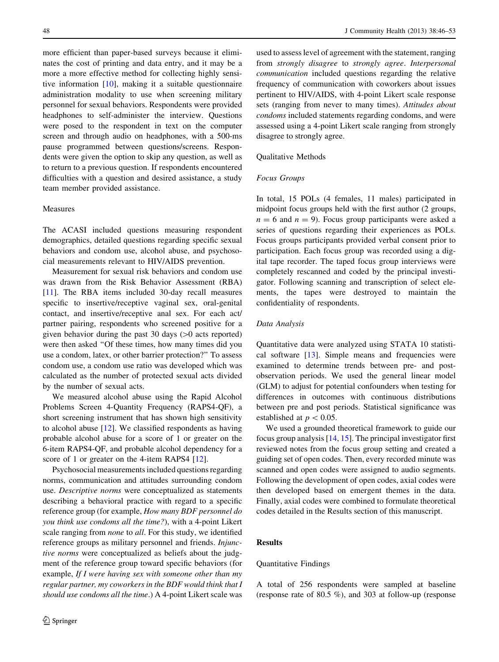more efficient than paper-based surveys because it eliminates the cost of printing and data entry, and it may be a more a more effective method for collecting highly sensitive information [[10\]](#page-7-0), making it a suitable questionnaire administration modality to use when screening military personnel for sexual behaviors. Respondents were provided headphones to self-administer the interview. Questions were posed to the respondent in text on the computer screen and through audio on headphones, with a 500-ms pause programmed between questions/screens. Respondents were given the option to skip any question, as well as to return to a previous question. If respondents encountered difficulties with a question and desired assistance, a study team member provided assistance.

### Measures

The ACASI included questions measuring respondent demographics, detailed questions regarding specific sexual behaviors and condom use, alcohol abuse, and psychosocial measurements relevant to HIV/AIDS prevention.

Measurement for sexual risk behaviors and condom use was drawn from the Risk Behavior Assessment (RBA) [\[11](#page-7-0)]. The RBA items included 30-day recall measures specific to insertive/receptive vaginal sex, oral-genital contact, and insertive/receptive anal sex. For each act/ partner pairing, respondents who screened positive for a given behavior during the past 30 days  $(0)$  acts reported) were then asked ''Of these times, how many times did you use a condom, latex, or other barrier protection?'' To assess condom use, a condom use ratio was developed which was calculated as the number of protected sexual acts divided by the number of sexual acts.

We measured alcohol abuse using the Rapid Alcohol Problems Screen 4-Quantity Frequency (RAPS4-QF), a short screening instrument that has shown high sensitivity to alcohol abuse [[12\]](#page-7-0). We classified respondents as having probable alcohol abuse for a score of 1 or greater on the 6-item RAPS4-QF, and probable alcohol dependency for a score of 1 or greater on the 4-item RAPS4 [\[12](#page-7-0)].

Psychosocial measurements included questions regarding norms, communication and attitudes surrounding condom use. Descriptive norms were conceptualized as statements describing a behavioral practice with regard to a specific reference group (for example, How many BDF personnel do you think use condoms all the time?), with a 4-point Likert scale ranging from *none* to all. For this study, we identified reference groups as military personnel and friends. Injunctive norms were conceptualized as beliefs about the judgment of the reference group toward specific behaviors (for example, If I were having sex with someone other than my regular partner, my coworkers in the BDF would think that I should use condoms all the time.) A 4-point Likert scale was

used to assess level of agreement with the statement, ranging from strongly disagree to strongly agree. Interpersonal communication included questions regarding the relative frequency of communication with coworkers about issues pertinent to HIV/AIDS, with 4-point Likert scale response sets (ranging from never to many times). Attitudes about condoms included statements regarding condoms, and were assessed using a 4-point Likert scale ranging from strongly disagree to strongly agree.

#### Qualitative Methods

#### Focus Groups

In total, 15 POLs (4 females, 11 males) participated in midpoint focus groups held with the first author (2 groups,  $n = 6$  and  $n = 9$ ). Focus group participants were asked a series of questions regarding their experiences as POLs. Focus groups participants provided verbal consent prior to participation. Each focus group was recorded using a digital tape recorder. The taped focus group interviews were completely rescanned and coded by the principal investigator. Following scanning and transcription of select elements, the tapes were destroyed to maintain the confidentiality of respondents.

#### Data Analysis

Quantitative data were analyzed using STATA 10 statistical software  $[13]$  $[13]$ . Simple means and frequencies were examined to determine trends between pre- and postobservation periods. We used the general linear model (GLM) to adjust for potential confounders when testing for differences in outcomes with continuous distributions between pre and post periods. Statistical significance was established at  $p < 0.05$ .

We used a grounded theoretical framework to guide our focus group analysis [\[14](#page-7-0), [15\]](#page-8-0). The principal investigator first reviewed notes from the focus group setting and created a guiding set of open codes. Then, every recorded minute was scanned and open codes were assigned to audio segments. Following the development of open codes, axial codes were then developed based on emergent themes in the data. Finally, axial codes were combined to formulate theoretical codes detailed in the Results section of this manuscript.

#### Results

#### Quantitative Findings

A total of 256 respondents were sampled at baseline (response rate of 80.5 %), and 303 at follow-up (response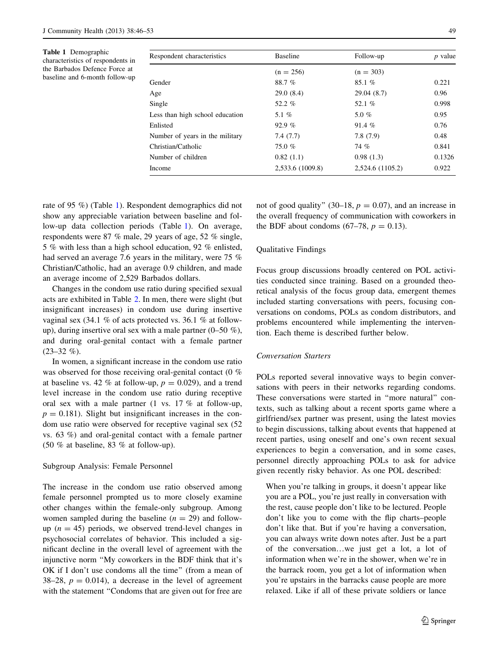Table 1 Demographic characteristics of respondents in the Barbados Defence Force at baseline and 6-month follow-up

| Respondent characteristics      | <b>Baseline</b>  | Follow-up        | $p$ value |
|---------------------------------|------------------|------------------|-----------|
|                                 | $(n = 256)$      | $(n = 303)$      |           |
| Gender                          | 88.7 %           | 85.1 $%$         | 0.221     |
| Age                             | 29.0(8.4)        | 29.04 (8.7)      | 0.96      |
| Single                          | 52.2 $%$         | 52.1 $%$         | 0.998     |
| Less than high school education | 5.1 $%$          | 5.0 $%$          | 0.95      |
| Enlisted                        | 92.9%            | 91.4%            | 0.76      |
| Number of years in the military | 7.4(7.7)         | 7.8(7.9)         | 0.48      |
| Christian/Catholic              | 75.0%            | 74%              | 0.841     |
| Number of children              | 0.82(1.1)        | 0.98(1.3)        | 0.1326    |
| Income                          | 2,533.6 (1009.8) | 2,524.6 (1105.2) | 0.922     |

rate of 95 %) (Table 1). Respondent demographics did not show any appreciable variation between baseline and follow-up data collection periods (Table 1). On average, respondents were 87 % male, 29 years of age, 52 % single, 5 % with less than a high school education, 92 % enlisted, had served an average 7.6 years in the military, were 75 % Christian/Catholic, had an average 0.9 children, and made an average income of 2,529 Barbados dollars.

Changes in the condom use ratio during specified sexual acts are exhibited in Table [2](#page-5-0). In men, there were slight (but insignificant increases) in condom use during insertive vaginal sex (34.1 % of acts protected vs. 36.1 % at followup), during insertive oral sex with a male partner  $(0-50\%)$ , and during oral-genital contact with a female partner  $(23-32\%).$ 

In women, a significant increase in the condom use ratio was observed for those receiving oral-genital contact (0 % at baseline vs. 42 % at follow-up,  $p = 0.029$ ), and a trend level increase in the condom use ratio during receptive oral sex with a male partner (1 vs. 17 % at follow-up,  $p = 0.181$ . Slight but insignificant increases in the condom use ratio were observed for receptive vaginal sex (52 vs. 63 %) and oral-genital contact with a female partner (50 % at baseline, 83 % at follow-up).

#### Subgroup Analysis: Female Personnel

The increase in the condom use ratio observed among female personnel prompted us to more closely examine other changes within the female-only subgroup. Among women sampled during the baseline  $(n = 29)$  and followup ( $n = 45$ ) periods, we observed trend-level changes in psychosocial correlates of behavior. This included a significant decline in the overall level of agreement with the injunctive norm ''My coworkers in the BDF think that it's OK if I don't use condoms all the time'' (from a mean of 38–28,  $p = 0.014$ , a decrease in the level of agreement with the statement "Condoms that are given out for free are not of good quality" (30–18,  $p = 0.07$ ), and an increase in the overall frequency of communication with coworkers in the BDF about condoms (67–78,  $p = 0.13$ ).

# Qualitative Findings

Focus group discussions broadly centered on POL activities conducted since training. Based on a grounded theoretical analysis of the focus group data, emergent themes included starting conversations with peers, focusing conversations on condoms, POLs as condom distributors, and problems encountered while implementing the intervention. Each theme is described further below.

## Conversation Starters

POLs reported several innovative ways to begin conversations with peers in their networks regarding condoms. These conversations were started in ''more natural'' contexts, such as talking about a recent sports game where a girlfriend/sex partner was present, using the latest movies to begin discussions, talking about events that happened at recent parties, using oneself and one's own recent sexual experiences to begin a conversation, and in some cases, personnel directly approaching POLs to ask for advice given recently risky behavior. As one POL described:

When you're talking in groups, it doesn't appear like you are a POL, you're just really in conversation with the rest, cause people don't like to be lectured. People don't like you to come with the flip charts–people don't like that. But if you're having a conversation, you can always write down notes after. Just be a part of the conversation…we just get a lot, a lot of information when we're in the shower, when we're in the barrack room, you get a lot of information when you're upstairs in the barracks cause people are more relaxed. Like if all of these private soldiers or lance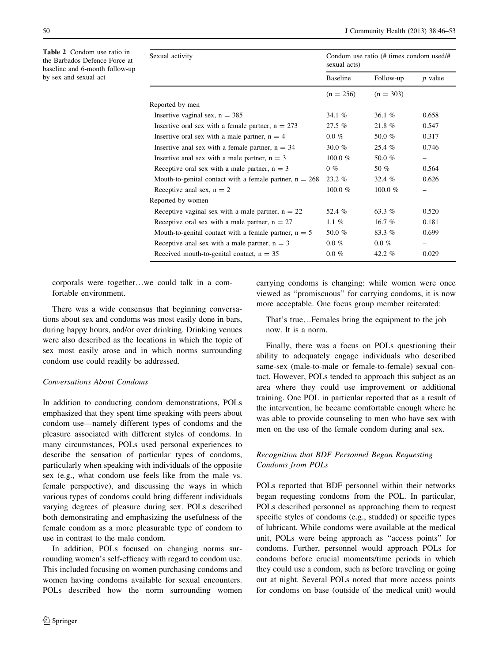<span id="page-5-0"></span>Table 2 Condom use ratio in the Barbados Defence Force at baseline and 6-month follow-up by sex and sexual act

| Sexual activity                                           | Condom use ratio (# times condom used/#<br>sexual acts) |             |           |
|-----------------------------------------------------------|---------------------------------------------------------|-------------|-----------|
|                                                           | <b>Baseline</b>                                         | Follow-up   | $p$ value |
|                                                           | $(n = 256)$                                             | $(n = 303)$ |           |
| Reported by men                                           |                                                         |             |           |
| Insertive vaginal sex, $n = 385$                          | 34.1 $%$                                                | 36.1 $%$    | 0.658     |
| Insertive oral sex with a female partner, $n = 273$       | $27.5\%$                                                | $21.8 \%$   | 0.547     |
| Insertive oral sex with a male partner, $n = 4$           | $0.0 \%$                                                | 50.0%       | 0.317     |
| Insertive anal sex with a female partner, $n = 34$        | 30.0 $%$                                                | 25.4%       | 0.746     |
| Insertive anal sex with a male partner, $n = 3$           | 100.0 $%$                                               | 50.0 %      | -         |
| Receptive oral sex with a male partner, $n = 3$           | $0\%$                                                   | 50 %        | 0.564     |
| Mouth-to-genital contact with a female partner, $n = 268$ | $23.2\%$                                                | 32.4 $%$    | 0.626     |
| Receptive anal sex, $n = 2$                               | 100.0%                                                  | 100.0 $%$   |           |
| Reported by women                                         |                                                         |             |           |
| Receptive vaginal sex with a male partner, $n = 22$       | 52.4 %                                                  | 63.3 $%$    | 0.520     |
| Receptive oral sex with a male partner, $n = 27$          | 1.1 $%$                                                 | 16.7 $%$    | 0.181     |
| Mouth-to-genital contact with a female partner, $n = 5$   | 50.0 %                                                  | 83.3 $%$    | 0.699     |
| Receptive anal sex with a male partner, $n = 3$           | $0.0 \%$                                                | $0.0 \%$    |           |
| Received mouth-to-genital contact, $n = 35$               | $0.0 \%$                                                | 42.2 $%$    | 0.029     |

corporals were together…we could talk in a comfortable environment.

There was a wide consensus that beginning conversations about sex and condoms was most easily done in bars, during happy hours, and/or over drinking. Drinking venues were also described as the locations in which the topic of sex most easily arose and in which norms surrounding condom use could readily be addressed.

# Conversations About Condoms

In addition to conducting condom demonstrations, POLs emphasized that they spent time speaking with peers about condom use—namely different types of condoms and the pleasure associated with different styles of condoms. In many circumstances, POLs used personal experiences to describe the sensation of particular types of condoms, particularly when speaking with individuals of the opposite sex (e.g., what condom use feels like from the male vs. female perspective), and discussing the ways in which various types of condoms could bring different individuals varying degrees of pleasure during sex. POLs described both demonstrating and emphasizing the usefulness of the female condom as a more pleasurable type of condom to use in contrast to the male condom.

In addition, POLs focused on changing norms surrounding women's self-efficacy with regard to condom use. This included focusing on women purchasing condoms and women having condoms available for sexual encounters. POLs described how the norm surrounding women carrying condoms is changing: while women were once viewed as ''promiscuous'' for carrying condoms, it is now more acceptable. One focus group member reiterated:

That's true…Females bring the equipment to the job now. It is a norm.

Finally, there was a focus on POLs questioning their ability to adequately engage individuals who described same-sex (male-to-male or female-to-female) sexual contact. However, POLs tended to approach this subject as an area where they could use improvement or additional training. One POL in particular reported that as a result of the intervention, he became comfortable enough where he was able to provide counseling to men who have sex with men on the use of the female condom during anal sex.

# Recognition that BDF Personnel Began Requesting Condoms from POLs

POLs reported that BDF personnel within their networks began requesting condoms from the POL. In particular, POLs described personnel as approaching them to request specific styles of condoms (e.g., studded) or specific types of lubricant. While condoms were available at the medical unit, POLs were being approach as ''access points'' for condoms. Further, personnel would approach POLs for condoms before crucial moments/time periods in which they could use a condom, such as before traveling or going out at night. Several POLs noted that more access points for condoms on base (outside of the medical unit) would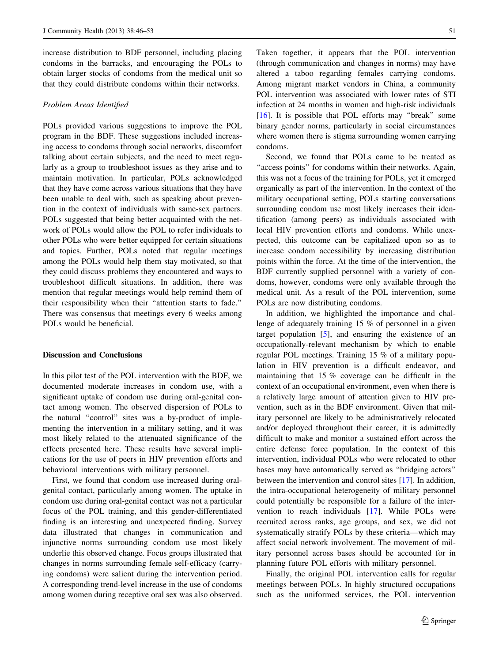increase distribution to BDF personnel, including placing condoms in the barracks, and encouraging the POLs to obtain larger stocks of condoms from the medical unit so that they could distribute condoms within their networks.

#### Problem Areas Identified

POLs provided various suggestions to improve the POL program in the BDF. These suggestions included increasing access to condoms through social networks, discomfort talking about certain subjects, and the need to meet regularly as a group to troubleshoot issues as they arise and to maintain motivation. In particular, POLs acknowledged that they have come across various situations that they have been unable to deal with, such as speaking about prevention in the context of individuals with same-sex partners. POLs suggested that being better acquainted with the network of POLs would allow the POL to refer individuals to other POLs who were better equipped for certain situations and topics. Further, POLs noted that regular meetings among the POLs would help them stay motivated, so that they could discuss problems they encountered and ways to troubleshoot difficult situations. In addition, there was mention that regular meetings would help remind them of their responsibility when their ''attention starts to fade.'' There was consensus that meetings every 6 weeks among POLs would be beneficial.

#### Discussion and Conclusions

In this pilot test of the POL intervention with the BDF, we documented moderate increases in condom use, with a significant uptake of condom use during oral-genital contact among women. The observed dispersion of POLs to the natural "control" sites was a by-product of implementing the intervention in a military setting, and it was most likely related to the attenuated significance of the effects presented here. These results have several implications for the use of peers in HIV prevention efforts and behavioral interventions with military personnel.

First, we found that condom use increased during oralgenital contact, particularly among women. The uptake in condom use during oral-genital contact was not a particular focus of the POL training, and this gender-differentiated finding is an interesting and unexpected finding. Survey data illustrated that changes in communication and injunctive norms surrounding condom use most likely underlie this observed change. Focus groups illustrated that changes in norms surrounding female self-efficacy (carrying condoms) were salient during the intervention period. A corresponding trend-level increase in the use of condoms among women during receptive oral sex was also observed.

Taken together, it appears that the POL intervention (through communication and changes in norms) may have altered a taboo regarding females carrying condoms. Among migrant market vendors in China, a community POL intervention was associated with lower rates of STI infection at 24 months in women and high-risk individuals [\[16](#page-8-0)]. It is possible that POL efforts may ''break'' some binary gender norms, particularly in social circumstances where women there is stigma surrounding women carrying condoms.

Second, we found that POLs came to be treated as "access points" for condoms within their networks. Again, this was not a focus of the training for POLs, yet it emerged organically as part of the intervention. In the context of the military occupational setting, POLs starting conversations surrounding condom use most likely increases their identification (among peers) as individuals associated with local HIV prevention efforts and condoms. While unexpected, this outcome can be capitalized upon so as to increase condom accessibility by increasing distribution points within the force. At the time of the intervention, the BDF currently supplied personnel with a variety of condoms, however, condoms were only available through the medical unit. As a result of the POL intervention, some POLs are now distributing condoms.

In addition, we highlighted the importance and challenge of adequately training 15 % of personnel in a given target population [[5\]](#page-7-0), and ensuring the existence of an occupationally-relevant mechanism by which to enable regular POL meetings. Training 15 % of a military population in HIV prevention is a difficult endeavor, and maintaining that 15 % coverage can be difficult in the context of an occupational environment, even when there is a relatively large amount of attention given to HIV prevention, such as in the BDF environment. Given that military personnel are likely to be administratively relocated and/or deployed throughout their career, it is admittedly difficult to make and monitor a sustained effort across the entire defense force population. In the context of this intervention, individual POLs who were relocated to other bases may have automatically served as ''bridging actors'' between the intervention and control sites [[17\]](#page-8-0). In addition, the intra-occupational heterogeneity of military personnel could potentially be responsible for a failure of the intervention to reach individuals [\[17](#page-8-0)]. While POLs were recruited across ranks, age groups, and sex, we did not systematically stratify POLs by these criteria—which may affect social network involvement. The movement of military personnel across bases should be accounted for in planning future POL efforts with military personnel.

Finally, the original POL intervention calls for regular meetings between POLs. In highly structured occupations such as the uniformed services, the POL intervention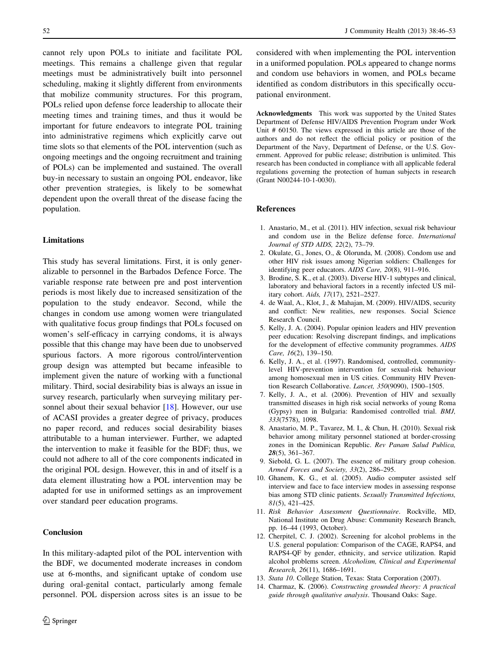<span id="page-7-0"></span>cannot rely upon POLs to initiate and facilitate POL meetings. This remains a challenge given that regular meetings must be administratively built into personnel scheduling, making it slightly different from environments that mobilize community structures. For this program, POLs relied upon defense force leadership to allocate their meeting times and training times, and thus it would be important for future endeavors to integrate POL training into administrative regimens which explicitly carve out time slots so that elements of the POL intervention (such as ongoing meetings and the ongoing recruitment and training of POLs) can be implemented and sustained. The overall buy-in necessary to sustain an ongoing POL endeavor, like other prevention strategies, is likely to be somewhat dependent upon the overall threat of the disease facing the population.

#### Limitations

This study has several limitations. First, it is only generalizable to personnel in the Barbados Defence Force. The variable response rate between pre and post intervention periods is most likely due to increased sensitization of the population to the study endeavor. Second, while the changes in condom use among women were triangulated with qualitative focus group findings that POLs focused on women's self-efficacy in carrying condoms, it is always possible that this change may have been due to unobserved spurious factors. A more rigorous control/intervention group design was attempted but became infeasible to implement given the nature of working with a functional military. Third, social desirability bias is always an issue in survey research, particularly when surveying military per-sonnel about their sexual behavior [[18\]](#page-8-0). However, our use of ACASI provides a greater degree of privacy, produces no paper record, and reduces social desirability biases attributable to a human interviewer. Further, we adapted the intervention to make it feasible for the BDF; thus, we could not adhere to all of the core components indicated in the original POL design. However, this in and of itself is a data element illustrating how a POL intervention may be adapted for use in uniformed settings as an improvement over standard peer education programs.

# Conclusion

In this military-adapted pilot of the POL intervention with the BDF, we documented moderate increases in condom use at 6-months, and significant uptake of condom use during oral-genital contact, particularly among female personnel. POL dispersion across sites is an issue to be

considered with when implementing the POL intervention in a uniformed population. POLs appeared to change norms and condom use behaviors in women, and POLs became identified as condom distributors in this specifically occupational environment.

Acknowledgments This work was supported by the United States Department of Defense HIV/AIDS Prevention Program under Work Unit # 60150. The views expressed in this article are those of the authors and do not reflect the official policy or position of the Department of the Navy, Department of Defense, or the U.S. Government. Approved for public release; distribution is unlimited. This research has been conducted in compliance with all applicable federal regulations governing the protection of human subjects in research (Grant N00244-10-1-0030).

#### References

- 1. Anastario, M., et al. (2011). HIV infection, sexual risk behaviour and condom use in the Belize defense force. International Journal of STD AIDS, 22(2), 73–79.
- 2. Okulate, G., Jones, O., & Olorunda, M. (2008). Condom use and other HIV risk issues among Nigerian soldiers: Challenges for identifying peer educators. AIDS Care, 20(8), 911–916.
- 3. Brodine, S. K., et al. (2003). Diverse HIV-1 subtypes and clinical, laboratory and behavioral factors in a recently infected US military cohort. Aids, 17(17), 2521–2527.
- 4. de Waal, A., Klot, J., & Mahajan, M. (2009). HIV/AIDS, security and conflict: New realities, new responses. Social Science Research Council.
- 5. Kelly, J. A. (2004). Popular opinion leaders and HIV prevention peer education: Resolving discrepant findings, and implications for the development of effective community programmes. AIDS Care, 16(2), 139–150.
- 6. Kelly, J. A., et al. (1997). Randomised, controlled, communitylevel HIV-prevention intervention for sexual-risk behaviour among homosexual men in US cities. Community HIV Prevention Research Collaborative. Lancet, 350(9090), 1500–1505.
- 7. Kelly, J. A., et al. (2006). Prevention of HIV and sexually transmitted diseases in high risk social networks of young Roma (Gypsy) men in Bulgaria: Randomised controlled trial. BMJ, 333(7578), 1098.
- 8. Anastario, M. P., Tavarez, M. I., & Chun, H. (2010). Sexual risk behavior among military personnel stationed at border-crossing zones in the Dominican Republic. Rev Panam Salud Publica, 28(5), 361–367.
- 9. Siebold, G. L. (2007). The essence of military group cohesion. Armed Forces and Society, 33(2), 286–295.
- 10. Ghanem, K. G., et al. (2005). Audio computer assisted self interview and face to face interview modes in assessing response bias among STD clinic patients. Sexually Transmitted Infections, 81(5), 421–425.
- 11. Risk Behavior Assessment Questionnaire. Rockville, MD, National Institute on Drug Abuse: Community Research Branch, pp. 16–44 (1993, October).
- 12. Cherpitel, C. J. (2002). Screening for alcohol problems in the U.S. general population: Comparison of the CAGE, RAPS4, and RAPS4-QF by gender, ethnicity, and service utilization. Rapid alcohol problems screen. Alcoholism, Clinical and Experimental Research, 26(11), 1686–1691.
- 13. Stata 10. College Station, Texas: Stata Corporation (2007).
- 14. Charmaz, K. (2006). Constructing grounded theory: A practical guide through qualitative analysis. Thousand Oaks: Sage.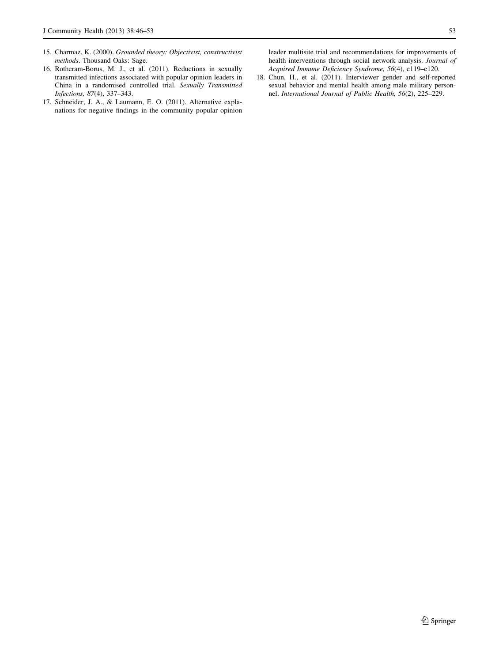- <span id="page-8-0"></span>15. Charmaz, K. (2000). Grounded theory: Objectivist, constructivist methods. Thousand Oaks: Sage.
- 16. Rotheram-Borus, M. J., et al. (2011). Reductions in sexually transmitted infections associated with popular opinion leaders in China in a randomised controlled trial. Sexually Transmitted Infections, 87(4), 337–343.
- 17. Schneider, J. A., & Laumann, E. O. (2011). Alternative explanations for negative findings in the community popular opinion

leader multisite trial and recommendations for improvements of health interventions through social network analysis. Journal of Acquired Immune Deficiency Syndrome, 56(4), e119–e120.

18. Chun, H., et al. (2011). Interviewer gender and self-reported sexual behavior and mental health among male military personnel. International Journal of Public Health, 56(2), 225–229.